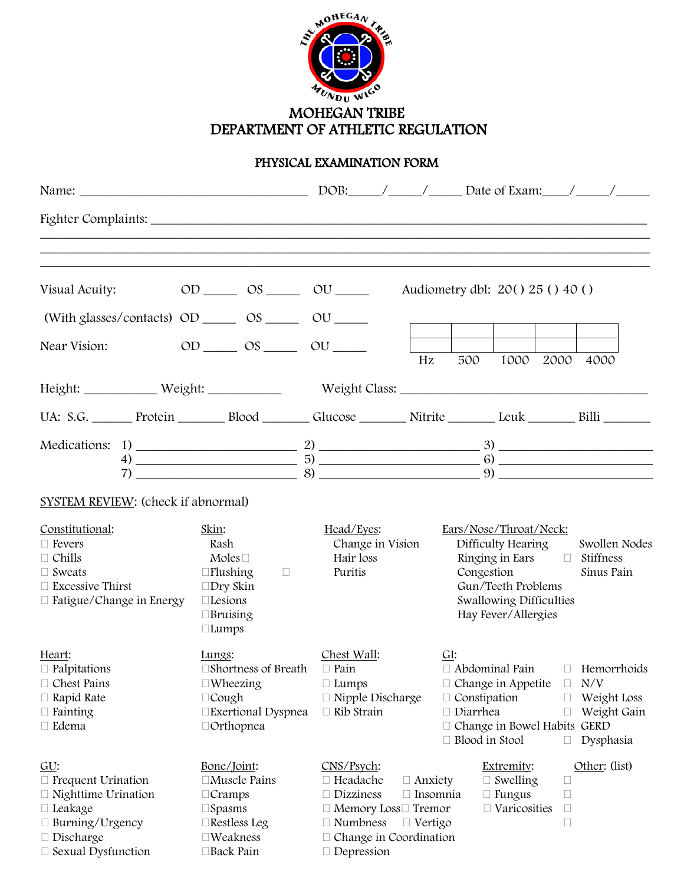

# DEPARTMENT OF ATHLETIC REGULATION

## PHYSICAL EXAMINATION FORM

| Visual Acuity:<br>(With glasses/contacts) $OD \_\_\_\_OS \_\_\_O$ $OU \_\_\_\_O$                                                                            | $OD \_\_\_\$ $OS \_\_\_\$ $OU \_\_\_\$                                                                                                   |                                                                                                                                                           |                                                     | Audiometry dbl: $20() 25() 40()$                                                                                                                                      |                                                                       |                                                                 |                |
|-------------------------------------------------------------------------------------------------------------------------------------------------------------|------------------------------------------------------------------------------------------------------------------------------------------|-----------------------------------------------------------------------------------------------------------------------------------------------------------|-----------------------------------------------------|-----------------------------------------------------------------------------------------------------------------------------------------------------------------------|-----------------------------------------------------------------------|-----------------------------------------------------------------|----------------|
| Near Vision:                                                                                                                                                | $OD$ $OS$ $OU$ $OU$                                                                                                                      |                                                                                                                                                           | Hz                                                  | 500                                                                                                                                                                   |                                                                       |                                                                 | 1000 2000 4000 |
| Height: Weight: Weight: Weight Class: Weight Class:                                                                                                         |                                                                                                                                          |                                                                                                                                                           |                                                     |                                                                                                                                                                       |                                                                       |                                                                 |                |
| UA: S.G. Protein Blood Glucose Nitrite Leuk Billi Billi                                                                                                     |                                                                                                                                          |                                                                                                                                                           |                                                     |                                                                                                                                                                       |                                                                       |                                                                 |                |
|                                                                                                                                                             | $(7)$ $(8)$ $(9)$                                                                                                                        |                                                                                                                                                           |                                                     |                                                                                                                                                                       |                                                                       |                                                                 |                |
| SYSTEM REVIEW: (check if abnormal)                                                                                                                          |                                                                                                                                          |                                                                                                                                                           |                                                     |                                                                                                                                                                       |                                                                       |                                                                 |                |
| Constitutional:<br>$\Box$ Fevers<br>$\Box$ Chills<br>$\Box$ Sweats<br>$\Box$ Excessive Thirst<br>□ Fatigue/Change in Energy                                 | Skin:<br>Rash<br>Moles $\Box$<br>$\Box$ Flushing<br>$\Box$<br>$\square$ Dry Skin<br>$\square$ Lesions<br>$\Box$ Bruising<br>$\Box$ Lumps | Head/Eyes:<br>Change in Vision<br>Hair loss<br>Puritis                                                                                                    | Ears/Nose/Throat/Neck:                              | Difficulty Hearing<br>Congestion<br>Gun/Teeth Problems<br>Swallowing Difficulties<br>Hay Fever/Allergies                                                              |                                                                       | Swollen Nodes<br>Ringing in Ears $\Box$ Stiffness<br>Sinus Pain |                |
| Heart:<br>$\Box$ Palpitations<br>Chest Pains<br>$\Box$ Rapid Rate<br>$\Box$ Fainting<br>□ Edema                                                             | Lungs:<br>$\Box$ Shortness of Breath $\Box$ Pain<br>$\Box$ Wheezing<br>$\Box$ Cough<br>□Exertional Dyspnea<br>$\Box$ Orthopnea           | Chest Wall:<br>$\Box$ Lumps<br>$\Box$ Nipple Discharge<br>$\Box$ Rib Strain                                                                               | GI:<br>$\Box$ Diarrhea                              | $\Box$ Abdominal Pain $\Box$ Hemorrhoids<br>$\Box$ Change in Appetite<br>Ш<br>$\Box$ Constipation<br>П<br>$\Box$<br>$\Box$ Change in Bowel Habits<br>□ Blood in Stool |                                                                       | N/V<br>Weight Loss<br>Weight Gain<br><b>GERD</b><br>Dysphasia   |                |
| GU:<br>$\Box$ Frequent Urination<br>$\Box$ Nighttime Urination<br>$\Box$ Leakage<br>$\Box$ Burning/Urgency<br>$\Box$ Discharge<br>$\Box$ Sexual Dysfunction | Bone/Joint:<br>□Muscle Pains<br>$\Box$ Cramps<br>$\square$ Spasms<br>$\Box$ Restless Leg<br>$\square$ Weakness<br>$\Box$ Back Pain       | CNS/Psych:<br>□ Headache<br>$\Box$ Dizziness<br>$\Box$ Memory Loss $\Box$ Tremor<br>$\Box$ Numbness<br>$\Box$ Change in Coordination<br>$\Box$ Depression | $\Box$ Anxiety<br>$\Box$ Insomnia<br>$\Box$ Vertigo |                                                                                                                                                                       | Extremity:<br>$\Box$ Swelling<br>$\Box$ Fungus<br>$\Box$ Varicosities | $\Box$<br>$\Box$<br>$\Box$<br>$\Box$                            | Other: (list)  |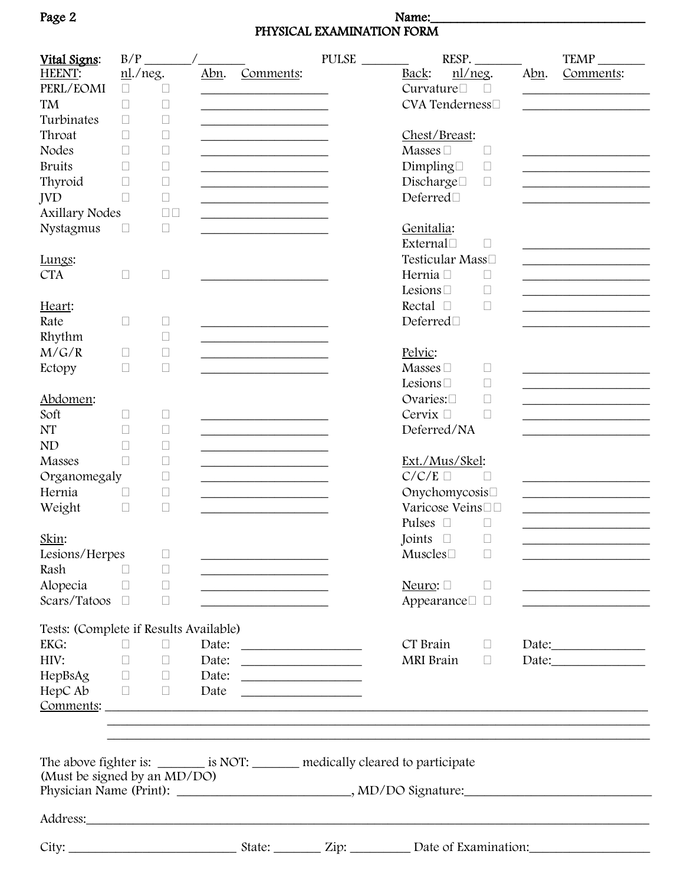### Page 2 Name:\_\_\_\_\_\_\_\_\_\_\_\_\_\_\_\_\_\_\_\_\_\_\_\_\_\_\_\_\_\_\_\_ PHYSICAL EXAMINATION FORM

| Vital Signs:                           | B/P        |                                    |      |                                                                                                                       | PULSE | RESP.                                                                                                                                                                                                                               |      | TEMP                                                                                                                 |
|----------------------------------------|------------|------------------------------------|------|-----------------------------------------------------------------------------------------------------------------------|-------|-------------------------------------------------------------------------------------------------------------------------------------------------------------------------------------------------------------------------------------|------|----------------------------------------------------------------------------------------------------------------------|
| HEENT:                                 | $n$ ./neg. |                                    | Abn. | Comments:                                                                                                             |       | nl/neg.<br>Back:                                                                                                                                                                                                                    | Abn. | Comments:                                                                                                            |
| PERL/EOMI                              | $\Box$     | $\Box$                             |      | <u> 1989 - Johann Barn, mars eta bainar e</u>                                                                         |       | Curvature<br>$\Box$                                                                                                                                                                                                                 |      | <u> 1980 - Johann John Stein, markin fan it ferstjer fan it ferstjer fan it ferstjer fan it ferstjer fan it fers</u> |
| TM                                     | $\Box$     | Ш                                  |      |                                                                                                                       |       | CVA Tenderness□                                                                                                                                                                                                                     |      |                                                                                                                      |
| Turbinates                             |            |                                    |      |                                                                                                                       |       |                                                                                                                                                                                                                                     |      |                                                                                                                      |
|                                        |            | $\Box$                             |      |                                                                                                                       |       |                                                                                                                                                                                                                                     |      |                                                                                                                      |
| Throat                                 | $\Box$     | Ш                                  |      | <u> 1989 - Johann Barbara, martin a</u>                                                                               |       | Chest/Breast:                                                                                                                                                                                                                       |      |                                                                                                                      |
| <b>Nodes</b>                           | $\Box$     | □                                  |      | the control of the control of the control of the control of                                                           |       | Masses $\square$<br>$\Box$                                                                                                                                                                                                          |      |                                                                                                                      |
| <b>Bruits</b>                          | П          | $\Box$                             |      | <u> 1989 - Johann Barbara, martin amerikan basar da</u>                                                               |       | Dimpling<br>$\Box$                                                                                                                                                                                                                  |      |                                                                                                                      |
| Thyroid                                | П          | $\Box$                             |      |                                                                                                                       |       | Discharge□<br>$\Box$                                                                                                                                                                                                                |      |                                                                                                                      |
| <b>JVD</b>                             | $\Box$     | $\Box$                             |      | <u> 1990 - Johann Barbara, martin amerikan basar da</u>                                                               |       | Deferred□                                                                                                                                                                                                                           |      |                                                                                                                      |
| <b>Axillary Nodes</b>                  |            | $\square$<br>$\square$             |      | the control of the control of the control of the control of                                                           |       |                                                                                                                                                                                                                                     |      |                                                                                                                      |
| Nystagmus                              | $\Box$     | $\Box$                             |      |                                                                                                                       |       | Genitalia:                                                                                                                                                                                                                          |      |                                                                                                                      |
|                                        |            |                                    |      |                                                                                                                       |       | External                                                                                                                                                                                                                            |      |                                                                                                                      |
|                                        |            |                                    |      |                                                                                                                       |       | П                                                                                                                                                                                                                                   |      |                                                                                                                      |
| Lungs:                                 |            |                                    |      |                                                                                                                       |       | Testicular Mass□                                                                                                                                                                                                                    |      |                                                                                                                      |
| <b>CTA</b>                             | $\Box$     | $\mathbf{L}$                       |      |                                                                                                                       |       | Hernia <sup>[11]</sup><br>$\Box$                                                                                                                                                                                                    |      |                                                                                                                      |
|                                        |            |                                    |      |                                                                                                                       |       | Lesions $\square$<br>$\Box$                                                                                                                                                                                                         |      |                                                                                                                      |
| Heart:                                 |            |                                    |      |                                                                                                                       |       | Rectal $\square$<br>$\Box$                                                                                                                                                                                                          |      |                                                                                                                      |
| Rate                                   | П          | Ш                                  |      | <u> 1989 - Johann Barbara, martxa alemaniar a</u>                                                                     |       | Deferred□                                                                                                                                                                                                                           |      |                                                                                                                      |
| Rhythm                                 |            | □                                  |      |                                                                                                                       |       |                                                                                                                                                                                                                                     |      |                                                                                                                      |
| M/G/R                                  | $\Box$     | $\Box$                             |      |                                                                                                                       |       | Pelvic:                                                                                                                                                                                                                             |      |                                                                                                                      |
|                                        |            |                                    |      |                                                                                                                       |       |                                                                                                                                                                                                                                     |      |                                                                                                                      |
| Ectopy                                 | $\Box$     | П                                  |      |                                                                                                                       |       | Masses $\square$<br>$\Box$                                                                                                                                                                                                          |      |                                                                                                                      |
|                                        |            |                                    |      |                                                                                                                       |       | Lesions $\square$<br>$\Box$                                                                                                                                                                                                         |      | the control of the control of the control of the control of the control of                                           |
| Abdomen:                               |            |                                    |      |                                                                                                                       |       | Ovaries:<br>$\Box$                                                                                                                                                                                                                  |      |                                                                                                                      |
| Soft                                   | П          | □                                  |      |                                                                                                                       |       | Cervix □<br>$\Box$                                                                                                                                                                                                                  |      |                                                                                                                      |
| <b>NT</b>                              | $\Box$     | Ш                                  |      | the control of the control of the control of the control of the control of                                            |       | Deferred/NA                                                                                                                                                                                                                         |      |                                                                                                                      |
| <b>ND</b>                              | Н          | Ш                                  |      |                                                                                                                       |       |                                                                                                                                                                                                                                     |      |                                                                                                                      |
| Masses                                 | П          | $\Box$                             |      |                                                                                                                       |       | Ext./Mus/Skel:                                                                                                                                                                                                                      |      |                                                                                                                      |
| Organomegaly                           |            | Ш                                  |      | the control of the control of the control of the control of                                                           |       | $C/C/E \Box$<br>$\Box$                                                                                                                                                                                                              |      |                                                                                                                      |
|                                        |            |                                    |      | the control of the control of the control of the control of the control of                                            |       |                                                                                                                                                                                                                                     |      |                                                                                                                      |
| Hernia                                 |            | $\Box$                             |      | the control of the control of the control of the control of                                                           |       | Onychomycosis□                                                                                                                                                                                                                      |      | the control of the control of the control of the control of the control of                                           |
| Weight                                 | $\Box$     | $\Box$                             |      |                                                                                                                       |       | Varicose Veins□□                                                                                                                                                                                                                    |      | the control of the control of the control of the control of the control of                                           |
|                                        |            |                                    |      |                                                                                                                       |       | Pulses<br>$\Box$<br>$\Box$                                                                                                                                                                                                          |      |                                                                                                                      |
| Skin:                                  |            |                                    |      |                                                                                                                       |       | Joints<br>$\Box$<br>$\Box$                                                                                                                                                                                                          |      |                                                                                                                      |
| Lesions/Herpes                         |            | $\Box$                             |      | <u> 1989 - Johann Barbara, martxa alemaniar a</u>                                                                     |       | $Muscles\Box$                                                                                                                                                                                                                       |      |                                                                                                                      |
| Rash                                   | $\Box$     | $\Box$                             |      | the control of the control of the control of the control of                                                           |       |                                                                                                                                                                                                                                     |      |                                                                                                                      |
| Alopecia $\Box$                        |            | $\Box$                             |      | <u> 1989 - Johann Barn, mars ann an t-Amhain Aonaich an t-Aonaich an t-Aonaich an t-Aonaich an t-Aonaich an t-Aon</u> |       | Neuro: □<br>$\Box$                                                                                                                                                                                                                  |      | <u> 1989 - Johann Barbara, martxa alemaniar a</u>                                                                    |
| Scars/Tatoos □                         |            | $\Box$                             |      |                                                                                                                       |       | Appearance $\square$                                                                                                                                                                                                                |      |                                                                                                                      |
|                                        |            |                                    |      |                                                                                                                       |       |                                                                                                                                                                                                                                     |      |                                                                                                                      |
| Tests: (Complete if Results Available) |            |                                    |      |                                                                                                                       |       |                                                                                                                                                                                                                                     |      |                                                                                                                      |
| EKG:                                   |            |                                    |      |                                                                                                                       |       | CT Brain                                                                                                                                                                                                                            |      |                                                                                                                      |
|                                        | $\Box$     | $\mathcal{L} \subset \mathbb{R}^n$ |      |                                                                                                                       |       | $\Box$                                                                                                                                                                                                                              |      |                                                                                                                      |
| HIV:                                   | $\Box$     | $\Box$                             |      | Date:                                                                                                                 |       | MRI Brain<br>$\Box$                                                                                                                                                                                                                 |      | Date:                                                                                                                |
| $HepBsAg$ $\Box$                       |            |                                    |      |                                                                                                                       |       |                                                                                                                                                                                                                                     |      |                                                                                                                      |
| $\text{HepC}$ Ab $\Box$                |            | $\Box$                             |      |                                                                                                                       |       |                                                                                                                                                                                                                                     |      |                                                                                                                      |
|                                        |            |                                    |      |                                                                                                                       |       | Comments:                                                                                                                                                                                                                           |      |                                                                                                                      |
|                                        |            |                                    |      |                                                                                                                       |       | ,我们也不能在这里的人,我们也不能在这里的人,我们也不能在这里的人,我们也不能在这里的人,我们也不能在这里的人,我们也不能在这里的人,我们也不能在这里的人,我们也                                                                                                                                                   |      |                                                                                                                      |
|                                        |            |                                    |      |                                                                                                                       |       |                                                                                                                                                                                                                                     |      |                                                                                                                      |
|                                        |            |                                    |      |                                                                                                                       |       |                                                                                                                                                                                                                                     |      |                                                                                                                      |
|                                        |            |                                    |      |                                                                                                                       |       | The above fighter is: _________ is NOT: ________ medically cleared to participate                                                                                                                                                   |      |                                                                                                                      |
| (Must be signed by an MD/DO)           |            |                                    |      |                                                                                                                       |       |                                                                                                                                                                                                                                     |      |                                                                                                                      |
|                                        |            |                                    |      |                                                                                                                       |       | Physician Name (Print): ________________________________, MD/DO Signature: ___________________________________                                                                                                                      |      |                                                                                                                      |
|                                        |            |                                    |      |                                                                                                                       |       |                                                                                                                                                                                                                                     |      |                                                                                                                      |
|                                        |            |                                    |      |                                                                                                                       |       | Address: <u>Address:</u> Address: Address: Address: Address: Address: Address: Address: Address: Address: Address: Address: Address: Address: Address: Address: Address: Address: Address: Address: Address: Address: Address: Addr |      |                                                                                                                      |
|                                        |            |                                    |      |                                                                                                                       |       |                                                                                                                                                                                                                                     |      |                                                                                                                      |
|                                        |            |                                    |      |                                                                                                                       |       |                                                                                                                                                                                                                                     |      |                                                                                                                      |